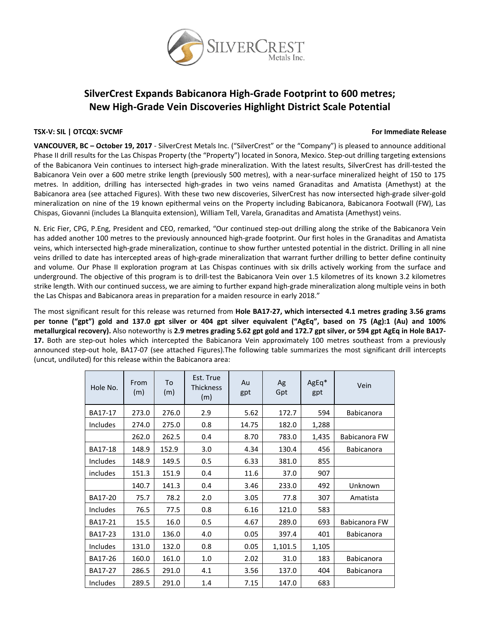

# **SilverCrest Expands Babicanora High‐Grade Footprint to 600 metres; New High‐Grade Vein Discoveries Highlight District Scale Potential**

### **TSX‐V: SIL | OTCQX: SVCMF For Immediate Release**

**VANCOUVER, BC – October 19, 2017** ‐ SilverCrest Metals Inc. ("SilverCrest" or the "Company") is pleased to announce additional Phase II drill results for the Las Chispas Property (the "Property") located in Sonora, Mexico. Step-out drilling targeting extensions of the Babicanora Vein continues to intersect high‐grade mineralization. With the latest results, SilverCrest has drill‐tested the Babicanora Vein over a 600 metre strike length (previously 500 metres), with a near‐surface mineralized height of 150 to 175 metres. In addition, drilling has intersected high‐grades in two veins named Granaditas and Amatista (Amethyst) at the Babicanora area (see attached Figures). With these two new discoveries, SilverCrest has now intersected high‐grade silver‐gold mineralization on nine of the 19 known epithermal veins on the Property including Babicanora, Babicanora Footwall (FW), Las Chispas, Giovanni (includes La Blanquita extension), William Tell, Varela, Granaditas and Amatista (Amethyst) veins.

N. Eric Fier, CPG, P.Eng, President and CEO, remarked, "Our continued step-out drilling along the strike of the Babicanora Vein has added another 100 metres to the previously announced high-grade footprint. Our first holes in the Granaditas and Amatista veins, which intersected high‐grade mineralization, continue to show further untested potential in the district. Drilling in all nine veins drilled to date has intercepted areas of high‐grade mineralization that warrant further drilling to better define continuity and volume. Our Phase II exploration program at Las Chispas continues with six drills actively working from the surface and underground. The objective of this program is to drill‐test the Babicanora Vein over 1.5 kilometres of its known 3.2 kilometres strike length. With our continued success, we are aiming to further expand high‐grade mineralization along multiple veins in both the Las Chispas and Babicanora areas in preparation for a maiden resource in early 2018."

The most significant result for this release was returned from **Hole BA17‐27, which intersected 4.1 metres grading 3.56 grams** per tonne ("gpt") gold and 137.0 gpt silver or 404 gpt silver equivalent ("AgEq", based on 75 (Ag):1 (Au) and 100% metallurgical recovery). Also noteworthy is 2.9 metres grading 5.62 gpt gold and 172.7 gpt silver, or 594 gpt AgEq in Hole BA17-17. Both are step-out holes which intercepted the Babicanora Vein approximately 100 metres southeast from a previously announced step‐out hole, BA17‐07 (see attached Figures).The following table summarizes the most significant drill intercepts (uncut, undiluted) for this release within the Babicanora area:

| Hole No.       | From<br>(m) | To<br>(m) | Est. True<br><b>Thickness</b><br>(m) | Au<br>gpt | Ag<br>Gpt | AgEq*<br>gpt | Vein              |
|----------------|-------------|-----------|--------------------------------------|-----------|-----------|--------------|-------------------|
| BA17-17        | 273.0       | 276.0     | 2.9                                  | 5.62      | 172.7     | 594          | <b>Babicanora</b> |
| Includes       | 274.0       | 275.0     | 0.8                                  | 14.75     | 182.0     | 1,288        |                   |
|                | 262.0       | 262.5     | 0.4                                  | 8.70      | 783.0     | 1,435        | Babicanora FW     |
| <b>BA17-18</b> | 148.9       | 152.9     | 3.0                                  | 4.34      | 130.4     | 456          | <b>Babicanora</b> |
| Includes       | 148.9       | 149.5     | 0.5                                  | 6.33      | 381.0     | 855          |                   |
| includes       | 151.3       | 151.9     | 0.4                                  | 11.6      | 37.0      | 907          |                   |
|                | 140.7       | 141.3     | 0.4                                  | 3.46      | 233.0     | 492          | Unknown           |
| BA17-20        | 75.7        | 78.2      | 2.0                                  | 3.05      | 77.8      | 307          | Amatista          |
| Includes       | 76.5        | 77.5      | 0.8                                  | 6.16      | 121.0     | 583          |                   |
| BA17-21        | 15.5        | 16.0      | 0.5                                  | 4.67      | 289.0     | 693          | Babicanora FW     |
| BA17-23        | 131.0       | 136.0     | 4.0                                  | 0.05      | 397.4     | 401          | Babicanora        |
| Includes       | 131.0       | 132.0     | 0.8                                  | 0.05      | 1,101.5   | 1,105        |                   |
| BA17-26        | 160.0       | 161.0     | 1.0                                  | 2.02      | 31.0      | 183          | <b>Babicanora</b> |
| BA17-27        | 286.5       | 291.0     | 4.1                                  | 3.56      | 137.0     | 404          | Babicanora        |
| Includes       | 289.5       | 291.0     | 1.4                                  | 7.15      | 147.0     | 683          |                   |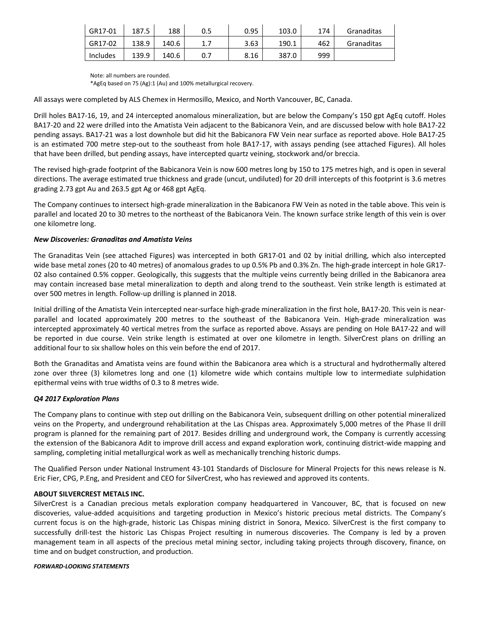| GR17-01  | 187.5 | 188   | 0.5 | 0.95 | 103.0 | 174 | Granaditas |
|----------|-------|-------|-----|------|-------|-----|------------|
| GR17-02  | 138.9 | 140.6 |     | 3.63 | 190.1 | 462 | Granaditas |
| Includes | 139.9 | 140.6 | 0.7 | 8.16 | 387.0 | 999 |            |

Note: all numbers are rounded.

\*AgEq based on 75 (Ag):1 (Au) and 100% metallurgical recovery.

All assays were completed by ALS Chemex in Hermosillo, Mexico, and North Vancouver, BC, Canada.

Drill holes BA17‐16, 19, and 24 intercepted anomalous mineralization, but are below the Company's 150 gpt AgEq cutoff. Holes BA17‐20 and 22 were drilled into the Amatista Vein adjacent to the Babicanora Vein, and are discussed below with hole BA17‐22 pending assays. BA17‐21 was a lost downhole but did hit the Babicanora FW Vein near surface as reported above. Hole BA17‐25 is an estimated 700 metre step-out to the southeast from hole BA17-17, with assays pending (see attached Figures). All holes that have been drilled, but pending assays, have intercepted quartz veining, stockwork and/or breccia.

The revised high‐grade footprint of the Babicanora Vein is now 600 metres long by 150 to 175 metres high, and is open in several directions. The average estimated true thickness and grade (uncut, undiluted) for 20 drill intercepts of this footprint is 3.6 metres grading 2.73 gpt Au and 263.5 gpt Ag or 468 gpt AgEq.

The Company continues to intersect high‐grade mineralization in the Babicanora FW Vein as noted in the table above. This vein is parallel and located 20 to 30 metres to the northeast of the Babicanora Vein. The known surface strike length of this vein is over one kilometre long.

#### *New Discoveries: Granaditas and Amatista Veins*

The Granaditas Vein (see attached Figures) was intercepted in both GR17‐01 and 02 by initial drilling, which also intercepted wide base metal zones (20 to 40 metres) of anomalous grades to up 0.5% Pb and 0.3% Zn. The high-grade intercept in hole GR17-02 also contained 0.5% copper. Geologically, this suggests that the multiple veins currently being drilled in the Babicanora area may contain increased base metal mineralization to depth and along trend to the southeast. Vein strike length is estimated at over 500 metres in length. Follow‐up drilling is planned in 2018.

Initial drilling of the Amatista Vein intercepted near‐surface high‐grade mineralization in the first hole, BA17‐20. This vein is near‐ parallel and located approximately 200 metres to the southeast of the Babicanora Vein. High-grade mineralization was intercepted approximately 40 vertical metres from the surface as reported above. Assays are pending on Hole BA17‐22 and will be reported in due course. Vein strike length is estimated at over one kilometre in length. SilverCrest plans on drilling an additional four to six shallow holes on this vein before the end of 2017.

Both the Granaditas and Amatista veins are found within the Babicanora area which is a structural and hydrothermally altered zone over three (3) kilometres long and one (1) kilometre wide which contains multiple low to intermediate sulphidation epithermal veins with true widths of 0.3 to 8 metres wide.

#### *Q4 2017 Exploration Plans*

The Company plans to continue with step out drilling on the Babicanora Vein, subsequent drilling on other potential mineralized veins on the Property, and underground rehabilitation at the Las Chispas area. Approximately 5,000 metres of the Phase II drill program is planned for the remaining part of 2017. Besides drilling and underground work, the Company is currently accessing the extension of the Babicanora Adit to improve drill access and expand exploration work, continuing district-wide mapping and sampling, completing initial metallurgical work as well as mechanically trenching historic dumps.

The Qualified Person under National Instrument 43‐101 Standards of Disclosure for Mineral Projects for this news release is N. Eric Fier, CPG, P.Eng, and President and CEO for SilverCrest, who has reviewed and approved its contents.

#### **ABOUT SILVERCREST METALS INC.**

SilverCrest is a Canadian precious metals exploration company headquartered in Vancouver, BC, that is focused on new discoveries, value‐added acquisitions and targeting production in Mexico's historic precious metal districts. The Company's current focus is on the high‐grade, historic Las Chispas mining district in Sonora, Mexico. SilverCrest is the first company to successfully drill-test the historic Las Chispas Project resulting in numerous discoveries. The Company is led by a proven management team in all aspects of the precious metal mining sector, including taking projects through discovery, finance, on time and on budget construction, and production.

#### *FORWARD‐LOOKING STATEMENTS*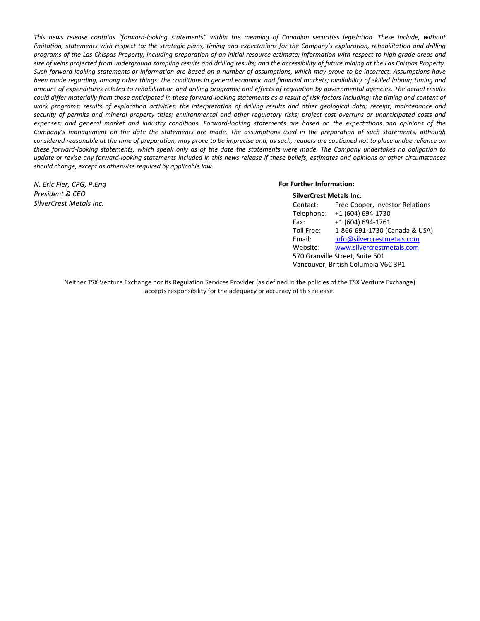This news release contains "forward-looking statements" within the meaning of Canadian securities legislation. These include, without limitation, statements with respect to: the strategic plans, timing and expectations for the Company's exploration, rehabilitation and drilling programs of the Las Chispas Property, including preparation of an initial resource estimate; information with respect to high grade areas and size of veins projected from underground sampling results and drilling results; and the accessibility of future mining at the Las Chispas Property. Such forward-looking statements or information are based on a number of assumptions, which may prove to be incorrect. Assumptions have been made regarding, among other things: the conditions in general economic and financial markets; availability of skilled labour; timing and amount of expenditures related to rehabilitation and drilling programs; and effects of regulation by governmental agencies. The actual results could differ materially from those anticipated in these forward-looking statements as a result of risk factors including: the timing and content of work programs; results of exploration activities; the interpretation of drilling results and other geological data; receipt, maintenance and security of permits and mineral property titles; environmental and other regulatory risks; project cost overruns or unanticipated costs and expenses; and general market and industry conditions. Forward-looking statements are based on the expectations and opinions of the Company's management on the date the statements are made. The assumptions used in the preparation of such statements, although considered reasonable at the time of preparation, may prove to be imprecise and, as such, readers are cautioned not to place undue reliance on these forward-looking statements, which speak only as of the date the statements were made. The Company undertakes no obligation to update or revise any forward-looking statements included in this news release if these beliefs, estimates and opinions or other circumstances *should change, except as otherwise required by applicable law.*

*N. Eric Fier, CPG, P.Eng President & CEO SilverCrest Metals Inc.*

#### **For Further Information: SilverCrest Metals Inc.**

| SilverCrest Metals Inc.             |                                 |  |  |  |
|-------------------------------------|---------------------------------|--|--|--|
| Contact:                            | Fred Cooper, Investor Relations |  |  |  |
| Telephone:                          | +1 (604) 694-1730               |  |  |  |
| Fax:                                | +1 (604) 694-1761               |  |  |  |
| Toll Free:                          | 1-866-691-1730 (Canada & USA)   |  |  |  |
| Email:                              | info@silvercrestmetals.com      |  |  |  |
| Website:                            | www.silvercrestmetals.com       |  |  |  |
| 570 Granville Street, Suite 501     |                                 |  |  |  |
| Vancouver, British Columbia V6C 3P1 |                                 |  |  |  |

Neither TSX Venture Exchange nor its Regulation Services Provider (as defined in the policies of the TSX Venture Exchange) accepts responsibility for the adequacy or accuracy of this release.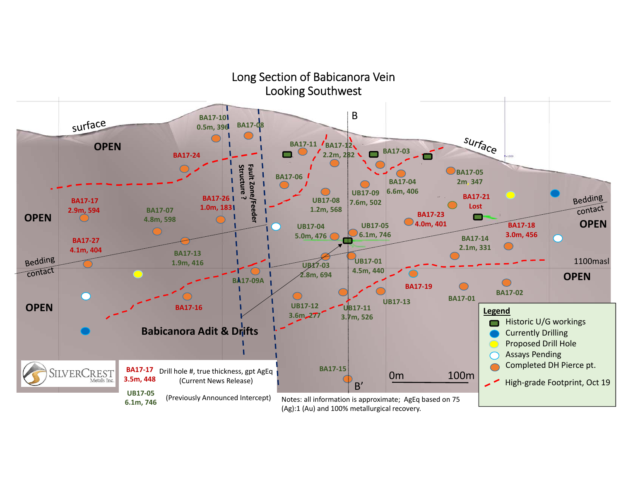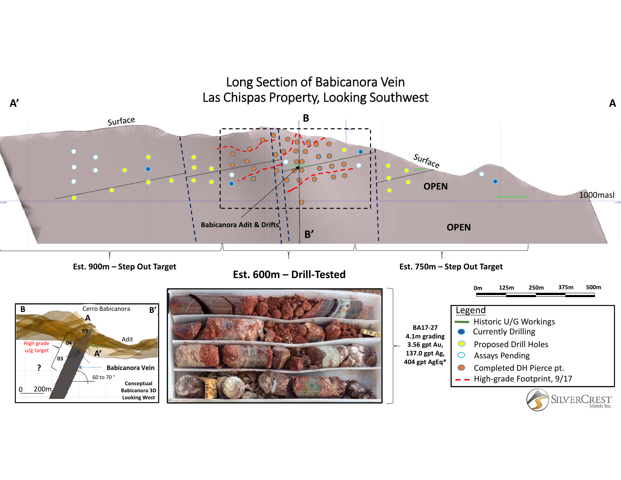